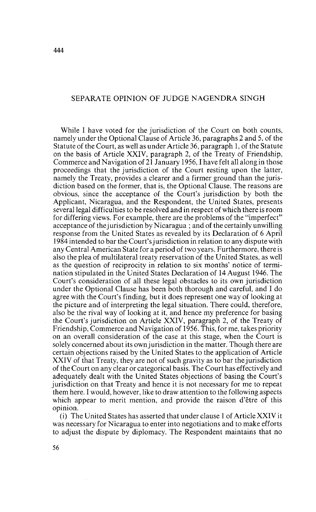# SEPARATE OPINION OF JUDGE NAGENDRA SINGH

While I have voted for the jurisdiction of the Court on both counts, namely under the Optional Clause of Article 36, paragraphs 2 and 5, of the Statute of the Court, as well as under Article 36, paragraph 1, of the Statute on the basis of Article XXIV, paragraph 2, of the Treaty of Friendship, Commerce and Navigation of 21 January 1956,I have felt al1 along in those proceedings that the jurisdiction of the Court resting upon the latter, namely the Treaty, provides a clearer and a firmer ground than the jurisdiction based on the former, that is, the Optional Clause. The reasons are obvious, since the acceptance of the Court's jurisdiction by both the Applicant, Nicaragua, and the Respondent, the United States, presents several legal difficulties to be resolved and in respect of which there is room for differing views. For example, there are the problems of the "imperfect" acceptance of the jurisdiction by Nicaragua ; and of the certainly unwilling response from the United States as revealed by its Declaration of 6 April 1984 intended to bar the Court's jurisdiction in relation to any dispute with any Central American State for aperiod of two years. Furthermore, thereis also the plea of multilateral treaty reservation of the United States, as well as the question of reciprocity in relation to six months' notice of termination stipulated in the United States Declaration of 14 August 1946. The Court's consideration of al1 these legal obstacles to its own jurisdiction under the Optional Clause has been both thorough and careful, and 1 do agree with the Court's finding, but it does represent one way of looking at the picture and of interpreting the legal situation. There could, therefore, also be the rival way of looking at it, and hence my preference for basing the Court's jurisdiction on Article XXIV, paragraph 2, of the Treaty of Friendship, Commerce and Navigation of 1956. This, for me, takes priority on an overall consideration of the case at this stage, when the Court is solely concerned about its own jurisdiction in the matter. Though there are certain objections raised by the United States to the application of Article XXIV of that Treaty, they are not of such gravity as to bar the jurisdiction of the Court on any clear or categorical basis. The Court has effectively and adequately dealt with the United States objections of basing the Court's jurisdiction on that Treaty and hence it is not necessary for me to repeat them here. 1 would, however, like to draw attention to the following aspects which appear to merit mention, and provide the raison d'être of this opinion.

(i) The United States has asserted that under clause 1 of Article XXIV it was necessary for Nicaragua to enter into negotiations and to make efforts to adjust the dispute by diplomacy. The Respondent maintains that no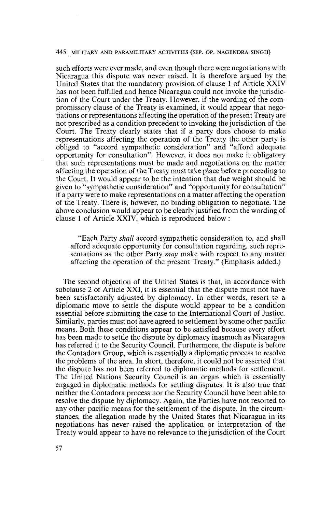such efforts were ever made, and even though there were negotiations with Nicaragua this dispute was never raised. It is therefore argued by the United States that the mandatory provision of clause 1 of Article XXIV has not been fulfilled and hence Nicaragua could not invoke the jurisdiction of the Court under the Treaty. However, if the wording of the compromissory clause of the Treaty is examined, it would appear that negotiations or representations affecting the operation of the present Treaty are not prescribed as a condition precedent to invoking the jurisdiction of the Court. The Treaty clearly states that if a party does choose to make representations affecting the operation of the Treaty the other party is obliged to "accord sympathetic consideration" and "afford adequate opportunity for consultation". However, it does not make it obligatory that such representations must be made and negotiations on the matter affecting the operation of the Treaty must take place before proceeding to the Court. It would appear to be the intention that due weight should be given to "sympathetic consideration" and "opportunity for consultation" if a party were to make representations on a matter affecting the operation of the Treaty. There is, however, no binding obligation to negotiate. The above conclusion would appear to be clearly justified from the wording of clause 1 of Article XXIV, which is reproduced below :

"Each Party *shall* accord sympathetic consideration to, and shall afford adequate opportunity for consultation regarding, such representations as the other Party *may* make with respect to any matter affecting the operation of the present Treaty." (Emphasis added.)

The second objection of the United States is that, in accordance with subclause 2 of Article XXI, it is essential that the dispute must not have been satisfactorily adjusted by diplomacy. In other words, resort to a diplomatic move to settle the dispute would appear to be a condition essential before submitting the case to the International Court of Justice. Similarly, parties must not have agreed to settlement by some other pacific means. Both these conditions appear to be satisfied because every effort has been made to settle the dispute by diplomacy inasmuch as Nicaragua has referred it to the Security Council. Furthermore, the dispute is before the Contadora Group, which is essentially a diplomatic process to resolve the problems of the area. In short, therefore, it could not be asserted that the dispute has not been referred to diplomatic methods for settlement. The United Nations Security Council is an organ which is essentially engaged in diplomatic methods for settling disputes. It is also true that neither the Contadora process nor the Security Council have been able to resolve the dispute by diplomacy. Again, the Parties have not resorted to any other pacific means for the settlement of the dispute. In the circumstances, the allegation made by the United States that Nicaragua in its negotiations has never raised the application or interpretation of the Treaty would appear to have no relevance to the jurisdiction of the Court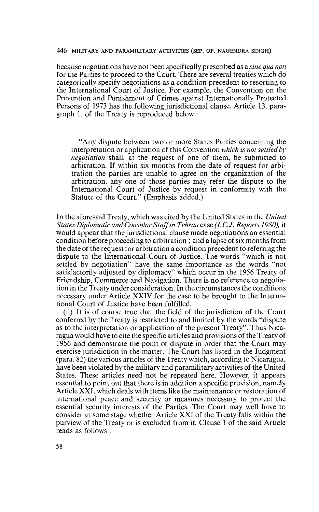because negotiations have not been specifically prescribed as a *sine qua non*  for the Parties to proceed to the Court. There are several treaties which do categorically specify negotiations as a condition precedent to resorting to the International Court of Justice. For example, the Convention on the Prevention and Punishment of Crimes against Internationally Protected Persons of 1973 has the following jurisdictional clause. Article 13, paragraph 1, of the Treaty is reproduced below :

"Any dispute between two or more States Parties concerning the interpretation or application of this Convention *which is not settled by negotiation* shall, at the request of one of them, be submitted to arbitration. If within six months from the date of request for arbitration the parties are unable to agree on the organization of the arbitration, any one of those parties may refer the dispute to the International Court of Justice by request in conformity with the Statute of the Court." (Emphasis added.)

In the aforesaid Treaty, which was cited by the United States in the *United States Diplornatic and Consular Staff in Tehran* case **(1.** *C.J. Reports 1980),* it would appear that the jurisdictional clause made negotiations an essential condition before proceeding to arbitration ; and a lapse of six months from the date of the request for arbitration a condition precedent to referring the dispute to the International Court of Justice. The words "which is not settled by negotiation" have the same importance as the words "not satisfactorily adjusted by diplomacy" which occur in the 1956 Treaty of Friendship, Commerce and Navigation. There is no reference to negotiation in the Treaty under consideration. In the circumstances the conditions necessary under Article XXIV for the case to be brought to the International Court of Justice have been fulfilled.

(ii) It is of course true that the field of the jurisdiction of the Court conferred by the Treaty is restricted to and limited by the words "dispute as to the interpretation or application of the present Treaty". Thus Nicaragua would have to cite the specific articles and provisions of the Treaty of 1956 and demonstrate the point of dispute in order that the Court may exercise jurisdiction in the matter. The Court has listed in the Judgment (para. 82) the various articles of the Treaty which, according to Nicaragua, have been violated by the military and pararnilitary activities of the United States. These articles need not be repeated here. However, it appears essential to point out that there is in addition a specific provision, namely Article XXI, which deals with items like the maintenance or restoration of international peace and security or measures necessary to protect the essential security interests of the Parties. The Court may well have to consider at some stage whether Article XXI of the Treaty falls within the purview of the Treaty or is excluded from it. Clause 1 of the said Article reads as follows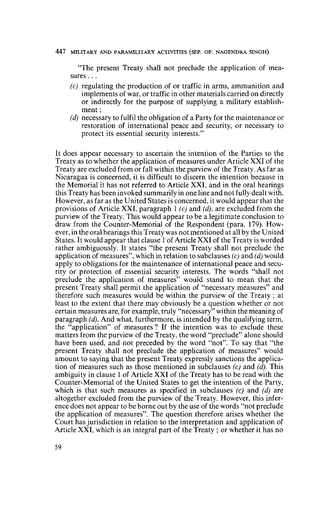"The present Treaty shall not preclude the application of measures . . .

- $(c)$  regulating the production of or traffic in arms, ammunition and implements of war, or traffic in other materials carried on directly or indirectly for the purpose of supplying a rnilitary establishment ;
- (d) necessary to fulfil the obligation of a Party for the maintenance or restoration of international peace and security, or necessary to protect its essential security interests."

It does appear necessary to ascertain the intention of the Parties to the Treaty as to whether the application of measures under Article XXI of the Treaty are excluded from or fa11 within the purview of the Treaty. As far as Nicaragua is concerned, it is difficult to discern the intention because in the Memorial it has not referred to Article XXI, and in the oral hearings this Treaty has been invoked summarily in one line and not fully dealt with. However, as far as the United States is concerned, it would appear that the provisions of Article XXI, paragraph  $1$  (c) and (d), are excluded from the purview of the Treaty. This would appear to be a legitimate conclusion to draw from the Counter-Memorial of the Respondent (para. 179). However, in the oral hearings this Treaty was not mentioned at al1 by the United States. It would appear that clause 1 of Article XXI of the Treaty is worded rather ambiguously. It states "the present Treaty shall not preclude the application of measures", which in relation to subclauses  $(c)$  and  $(d)$  would apply to obligations for the maintenance of international peace and security or protection of essential security interests. The words "shall not preclude the application of measures" would stand to mean that the present Treaty shall permit the application of "necessary measures" and therefore such measures would be within the purview of the Treaty ; at least to the extent that there may obviously be a question whether or not certain measures are, for example, truly "necessary" within the meaning of paragraph (d). And what, furthermore, is intended by the qualifying term, the "application" of measures ? If the intention was to exclude these matters from the purview of the Treaty, the word "preclude" alone should have been used, and not preceded by the word "not". To say that "the present Treaty shall not preclude the application of measures" would amount to saying that the present Treaty expressly sanctions the application of measures such as those mentioned in subclauses  $(c)$  and  $(d)$ . This ambiguity in clause 1 of Article XXI of the Treaty has to be read with the Counter-Memorial of the United States to get the intention of the Party, which is that such measures as specified in subclauses  $(c)$  and  $(d)$  are altogether excluded from the purview of the Treaty. However, this inference does not appear to be borne out by the use of the words "not preclude the application of measures". The question therefore arises whether the Court has jurisdiction in relation to the interpretation and application of Article XXI, which is an integral part of the Treaty ; or whether it has no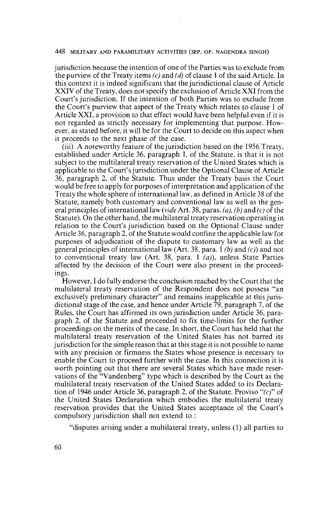jurisdiction because the intention of one of the Parties was to exclude from the purview of the Treaty items *(c)* and (d) of clause 1 of the said Article. In this context it is indeed significant that the jurisdictional clause of Article XXIV of the Treaty, does not specify the exclusion of Article XXI from the Court's jurisdiction. If the intention of both Parties was to exclude from the Court's purview that aspect of the Treaty which relates to clause 1 of Article XXI, a provision to that effect would have been helpful even if it is not regarded as strictly necessary for implementing that purpose. However, as stated before, it will be for the Court to decide on this aspect when it proceeds to the next phase of the case.

(iii) A noteworthy feature of the jurisdiction based on the 1956 Treaty, established under Article 36, paragraph 1, of the Statute, is that it is not subject to the multilateral treaty reservation of the United States which is applicable to the Court's jurisdiction under the Optional Clause of Article 36, paragraph 2, of the Statute. Thus under the Treaty basis the Court would be free to apply for purposes of interpretation and application of the Treaty the whole sphere of international law, as defined in Article 38 of the Statute, namely both customary and conventional law as well as the general principles of international law *(vide* Art. 38, paras. *(a), (6)* and *(c)* of the Statute). On the other hand, the multilateral treaty reservation operating in relation to the Court's jurisdiction based on the Optional Clause under Article 36, paragraph 2, of the Statute would confine the applicable law for purposes of adjudication of the dispute to customary law as well as the general principles of international law (Art. 38, para. 1 *(b)* and *(c))* and not to conventional treaty law (Art. 38, para. 1 *(a)),* unless State Parties affected by the decision of the Court were also present in the proceedings.

However, 1 do fully endorse the conclusion reached by the Court that the multilateral treaty reservation of the Respondent does not possess "an exclusively preliminary character" and remains inapplicable at this jurisdictional stage of the case, and hence under Article 79, paragraph 7, of the Rules, the Court has affirmed its own jurisdiction under Article 36, paragraph 2, of the Statute and proceeded to fix time-limits for the further proceedings on the merits of the case. In short, the Court has held that the multilateral treaty reservation of the United States has not barred its jurisdiction for the simple reason that at this stage it is not possible to name with any precision or firmness the States whose presence is necessary to enable the Court to proceed further with the case. In this connection it is worth pointing out that there are several States which have made reservations of the "Vandenberg" type which is described by the Court as the multilateral treaty reservation of the United States added to its Declaration of 1946 under Article 36, paragraph 2, of the Statute. Proviso *"(c)"* of the United States Declaration which embodies the multilateral treaty reservation provides that the United States acceptance of the Court's compulsory jurisdiction shall not extend to :

"disputes arising under a multilateral treaty, unless (1) al1 parties to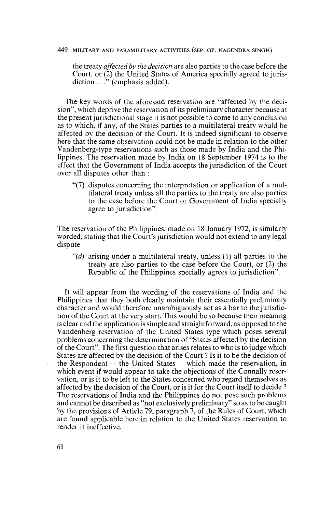the treaty *affected* by *the decision* are also parties to the case before the Court, or (2) the United States of America specially agreed to jurisdiction  $\ldots$  " (emphasis added).

The key words of the aforesaid reservation are "affected by the decision", which deprive the reservation of its preliminary character because at the present jurisdictional stage it is not possible to come to any conclusion as to which, if any, of the States parties to a multilateral treaty would be affected by the decision of the Court. It is indeed significant to observe here that the same observation could not be made in relation to the other Vandenberg-type reservations such as those made by India and the Philippines. The reservation made by India on 18 September 1974 is to the effect that the Government of India accepts the jurisdiction of the Court over al1 disputes other than :

"(7) disputes concerning the interpretation or application of a multilateral treaty unless al1 the parties to the treaty are also parties to the case before the Court or Government of India specially agree to jurisdiction".

The reservation of the Philippines, made on 18 January 1972, is similarly worded, stating that the Court's jurisdiction would not extend to any legal dispute

 $''(d)$  arising under a multilateral treaty, unless (1) all parties to the treaty are also parties to the case before the Court, or (2) the Republic of the Philippines specially agrees to jurisdiction".

It will appear from the wording of the reservations of India and the Philippines that they both clearly maintain their essentially preliminary character and would therefore unambiguously act as a bar to the jurisdiction of the Court at the very start. This would be so because their meaning is clear and the application is simple and straightfonvard, as opposed to the Vandenberg reservation of the United States type which poses several problems concerning the determination of "States affected by the decision of the Court". The first question that anses relates to who is to judge which States are affected by the decision of the Court ? 1s it to be the decision of the Respondent  $-$  the United States  $-$  which made the reservation, in which event if would appear to take the objections of the Connally reservation, or is it to be left to the States concerned who regard themselves as affected by the decision of the Court, or is it for the Court itself to decide ? The reservations of India and the Philippines do not pose such problems and cannot be described as "not exclusively preliminary" so as to be caught by the provisions of Article 79, paragraph 7, of the Rules of Court, which are found applicable here in relation to the United States reservation to render it ineffective.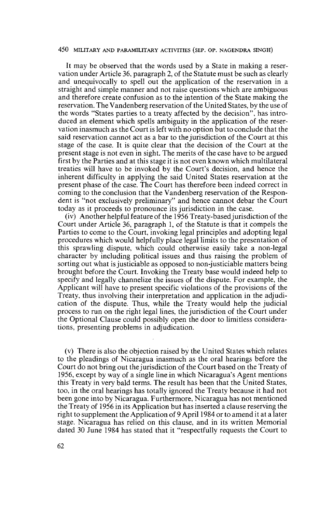It may be observed that the words used by a State in making a reservation under Article 36, paragraph 2, of the Statute must be such as clearly and unequivocally to spell out the application of the reservation in a straight and simple manner and not raise questions which are ambiguous and therefore create confusion as to the intention of the State making the reservation. The Vandenberg reservation of the United States, by the use of the words "States parties to a treaty affected by the decision", has introduced an element which spells ambiguity in the application of the reservation inasmuch as the Court is left with no option but to conclude that the said reservation cannot act as a bar to the jurisdiction of the Court at this stage of the case. It is quite clear that the decision of the Court at the present stage is not even in sight. The merits of the case have to be argued first by the Parties and at this stage it is not even known which multilateral treaties will have to be invoked by the Court's decision, and hence the inherent difficulty in applying the said United States reservation at the present phase of the case. The Court has therefore been indeed correct in coming to the conclusion that the Vandenberg reservation of the Respondent is "not exclusively preliminary" and hence cannot debar the Court today as it proceeds to pronounce its jurisdiction in the case.

 $(iv)$  Another helpful feature of the 1956 Treaty-based jurisdiction of the Court under Article 36, paragraph 1, of the Statute is that it compels the Parties to come to the Court, invoking legal principles and adopting legal procedures which would helpfully place legal limits to the presentation of this sprawling dispute, which could otherwise easily take a non-legal character by including political issues and thus raising the problem of sorting out what is justiciable as opposed to non-justiciable matters being brought before the Court. Invoking the Treaty base would indeed help to specify and legally channelize the issues of the dispute. For example, the Applicant will have to present specific violations of the provisions of the Treaty, thus involving their interpretation and application in the adjudication of the dispute. Thus, whle the Treaty would help the judicial process to run on the right legal lines, the jurisdiction of the Court under the Optional Clause could possibly open the door to limitless considerations, presenting problems in adjudication.

(v) There is also the objection raised by the United States whch relates to the pleadings of Nicaragua inasmuch as the oral hearings before the Court do not bring out the jurisdiction of the Court based on the Treaty of 1956, except by way of a single line in which Nicaragua's Agent mentions this Treaty in very bald terms. The result has been that the United States, too, in the oral hearings has totally ignored the Treaty because it had not been gone into by Nicaragua. Furthermore, Nicaragua has not mentioned the Treaty of 1956 in its Application but has inserted a clause reserving the right to supplement the Application of 9 April 1984 or to amend it at a later stage. Nicaragua has relied on this clause, and in its written Memorial dated 30 June 1984 has stated that it "respectfully requests the Court to